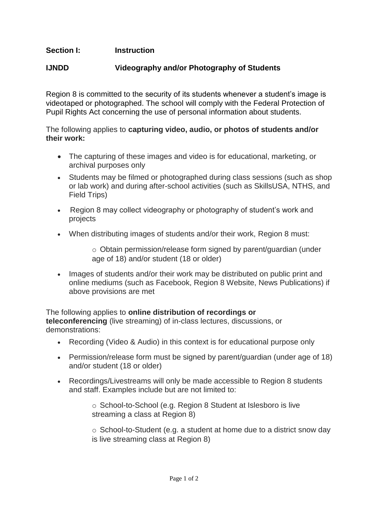## **Section I: Instruction**

## **IJNDD Videography and/or Photography of Students**

Region 8 is committed to the security of its students whenever a student's image is videotaped or photographed. The school will comply with the Federal Protection of Pupil Rights Act concerning the use of personal information about students.

The following applies to **capturing video, audio, or photos of students and/or their work:**

- The capturing of these images and video is for educational, marketing, or archival purposes only
- Students may be filmed or photographed during class sessions (such as shop or lab work) and during after-school activities (such as SkillsUSA, NTHS, and Field Trips)
- Region 8 may collect videography or photography of student's work and projects
- When distributing images of students and/or their work, Region 8 must:

o Obtain permission/release form signed by parent/guardian (under age of 18) and/or student (18 or older)

• Images of students and/or their work may be distributed on public print and online mediums (such as Facebook, Region 8 Website, News Publications) if above provisions are met

The following applies to **online distribution of recordings or teleconferencing** (live streaming) of in-class lectures, discussions, or demonstrations:

- Recording (Video & Audio) in this context is for educational purpose only
- Permission/release form must be signed by parent/guardian (under age of 18) and/or student (18 or older)
- Recordings/Livestreams will only be made accessible to Region 8 students and staff. Examples include but are not limited to:

o School-to-School (e.g. Region 8 Student at Islesboro is live streaming a class at Region 8)

o School-to-Student (e.g. a student at home due to a district snow day is live streaming class at Region 8)